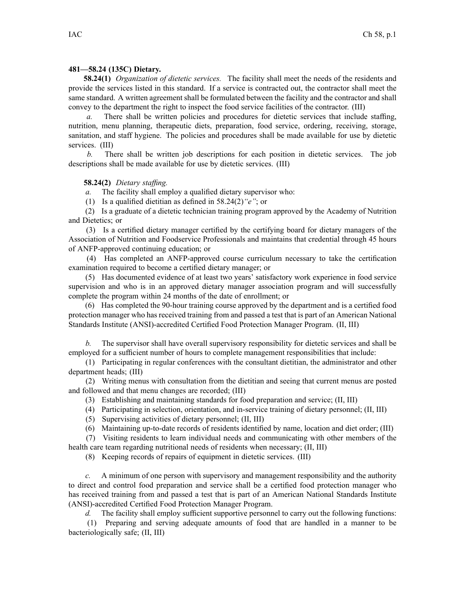#### **481—58.24 (135C) Dietary.**

**58.24(1)** *Organization of dietetic services.* The facility shall meet the needs of the residents and provide the services listed in this standard. If <sup>a</sup> service is contracted out, the contractor shall meet the same standard. A written agreemen<sup>t</sup> shall be formulated between the facility and the contractor and shall convey to the department the right to inspect the food service facilities of the contractor. (III)

*a.* There shall be written policies and procedures for dietetic services that include staffing, nutrition, menu planning, therapeutic diets, preparation, food service, ordering, receiving, storage, sanitation, and staff hygiene. The policies and procedures shall be made available for use by dietetic services. (III)

*b.* There shall be written job descriptions for each position in dietetic services. The job descriptions shall be made available for use by dietetic services. (III)

# **58.24(2)** *Dietary staffing.*

*a.* The facility shall employ <sup>a</sup> qualified dietary supervisor who:

(1) Is <sup>a</sup> qualified dietitian as defined in 58.24(2)*"e"*; or

(2) Is <sup>a</sup> graduate of <sup>a</sup> dietetic technician training program approved by the Academy of Nutrition and Dietetics; or

(3) Is <sup>a</sup> certified dietary manager certified by the certifying board for dietary managers of the Association of Nutrition and Foodservice Professionals and maintains that credential through 45 hours of ANFP-approved continuing education; or

(4) Has completed an ANFP-approved course curriculum necessary to take the certification examination required to become <sup>a</sup> certified dietary manager; or

(5) Has documented evidence of at least two years' satisfactory work experience in food service supervision and who is in an approved dietary manager association program and will successfully complete the program within 24 months of the date of enrollment; or

(6) Has completed the 90-hour training course approved by the department and is <sup>a</sup> certified food protection manager who has received training from and passed <sup>a</sup> test that is par<sup>t</sup> of an American National Standards Institute (ANSI)-accredited Certified Food Protection Manager Program. (II, III)

*b.* The supervisor shall have overall supervisory responsibility for dietetic services and shall be employed for <sup>a</sup> sufficient number of hours to complete managemen<sup>t</sup> responsibilities that include:

(1) Participating in regular conferences with the consultant dietitian, the administrator and other department heads; (III)

(2) Writing menus with consultation from the dietitian and seeing that current menus are posted and followed and that menu changes are recorded; (III)

- (3) Establishing and maintaining standards for food preparation and service; (II, III)
- (4) Participating in selection, orientation, and in-service training of dietary personnel; (II, III)
- (5) Supervising activities of dietary personnel; (II, III)
- (6) Maintaining up-to-date records of residents identified by name, location and diet order; (III)

(7) Visiting residents to learn individual needs and communicating with other members of the health care team regarding nutritional needs of residents when necessary; (II, III)

(8) Keeping records of repairs of equipment in dietetic services. (III)

*c.* A minimum of one person with supervisory and managemen<sup>t</sup> responsibility and the authority to direct and control food preparation and service shall be <sup>a</sup> certified food protection manager who has received training from and passed <sup>a</sup> test that is par<sup>t</sup> of an American National Standards Institute (ANSI)-accredited Certified Food Protection Manager Program.

*d.* The facility shall employ sufficient supportive personnel to carry out the following functions:

(1) Preparing and serving adequate amounts of food that are handled in <sup>a</sup> manner to be bacteriologically safe; (II, III)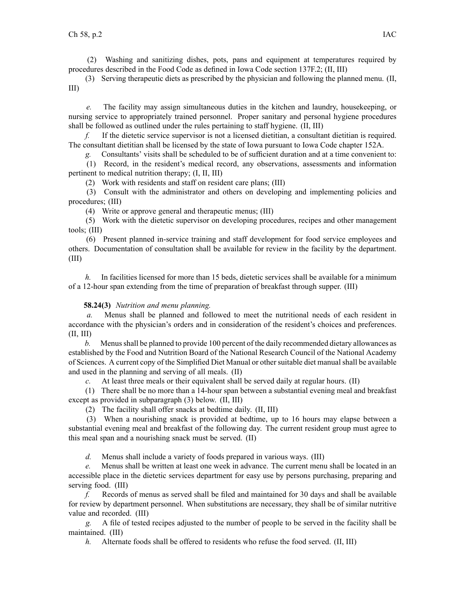(2) Washing and sanitizing dishes, pots, pans and equipment at temperatures required by procedures described in the Food Code as defined in Iowa Code section [137F.2](https://www.legis.iowa.gov/docs/ico/section/137F.2.pdf); (II, III)

(3) Serving therapeutic diets as prescribed by the physician and following the planned menu. (II, III)

*e.* The facility may assign simultaneous duties in the kitchen and laundry, housekeeping, or nursing service to appropriately trained personnel. Proper sanitary and personal hygiene procedures shall be followed as outlined under the rules pertaining to staff hygiene. (II, III)

*f.* If the dietetic service supervisor is not <sup>a</sup> licensed dietitian, <sup>a</sup> consultant dietitian is required. The consultant dietitian shall be licensed by the state of Iowa pursuan<sup>t</sup> to Iowa Code chapter [152A](https://www.legis.iowa.gov/docs/ico/chapter/152A.pdf).

*g.* Consultants' visits shall be scheduled to be of sufficient duration and at <sup>a</sup> time convenient to:

(1) Record, in the resident's medical record, any observations, assessments and information pertinent to medical nutrition therapy; (I, II, III)

(2) Work with residents and staff on resident care plans; (III)

(3) Consult with the administrator and others on developing and implementing policies and procedures; (III)

(4) Write or approve general and therapeutic menus; (III)

(5) Work with the dietetic supervisor on developing procedures, recipes and other managemen<sup>t</sup> tools; (III)

(6) Present planned in-service training and staff development for food service employees and others. Documentation of consultation shall be available for review in the facility by the department. (III)

*h.* In facilities licensed for more than 15 beds, dietetic services shall be available for a minimum of <sup>a</sup> 12-hour span extending from the time of preparation of breakfast through supper. (III)

# **58.24(3)** *Nutrition and menu planning.*

*a.* Menus shall be planned and followed to meet the nutritional needs of each resident in accordance with the physician's orders and in consideration of the resident's choices and preferences. (II, III)

*b.* Menusshall be planned to provide 100 percen<sup>t</sup> of the daily recommended dietary allowances as established by the Food and Nutrition Board of the National Research Council of the National Academy of Sciences. A current copy of the Simplified Diet Manual or othersuitable diet manualshall be available and used in the planning and serving of all meals. (II)

*c.* At least three meals or their equivalent shall be served daily at regular hours. (II)

(1) There shall be no more than <sup>a</sup> 14-hour span between <sup>a</sup> substantial evening meal and breakfast excep<sup>t</sup> as provided in subparagraph (3) below. (II, III)

(2) The facility shall offer snacks at bedtime daily. (II, III)

(3) When <sup>a</sup> nourishing snack is provided at bedtime, up to 16 hours may elapse between <sup>a</sup> substantial evening meal and breakfast of the following day. The current resident group must agree to this meal span and <sup>a</sup> nourishing snack must be served. (II)

*d.* Menus shall include <sup>a</sup> variety of foods prepared in various ways. (III)

*e.* Menus shall be written at least one week in advance. The current menu shall be located in an accessible place in the dietetic services department for easy use by persons purchasing, preparing and serving food. (III)

*f.* Records of menus as served shall be filed and maintained for 30 days and shall be available for review by department personnel. When substitutions are necessary, they shall be of similar nutritive value and recorded. (III)

*g.* A file of tested recipes adjusted to the number of people to be served in the facility shall be maintained. (III)

*h.* Alternate foods shall be offered to residents who refuse the food served. (II, III)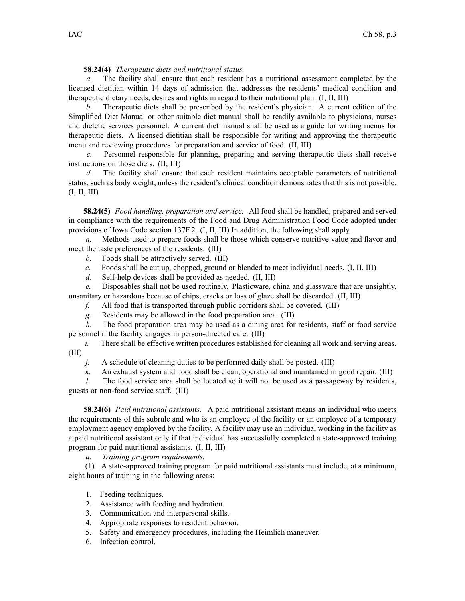#### **58.24(4)** *Therapeutic diets and nutritional status.*

*a.* The facility shall ensure that each resident has <sup>a</sup> nutritional assessment completed by the licensed dietitian within 14 days of admission that addresses the residents' medical condition and therapeutic dietary needs, desires and rights in regard to their nutritional plan. (I, II, III)

*b.* Therapeutic diets shall be prescribed by the resident's physician. A current edition of the Simplified Diet Manual or other suitable diet manual shall be readily available to physicians, nurses and dietetic services personnel. A current diet manual shall be used as <sup>a</sup> guide for writing menus for therapeutic diets. A licensed dietitian shall be responsible for writing and approving the therapeutic menu and reviewing procedures for preparation and service of food. (II, III)

*c.* Personnel responsible for planning, preparing and serving therapeutic diets shall receive instructions on those diets. (II, III)

*d.* The facility shall ensure that each resident maintains acceptable parameters of nutritional status, such as body weight, unless the resident's clinical condition demonstrates that this is not possible. (I, II, III)

**58.24(5)** *Food handling, preparation and service.* All food shall be handled, prepared and served in compliance with the requirements of the Food and Drug Administration Food Code adopted under provisions of Iowa Code section [137F.2](https://www.legis.iowa.gov/docs/ico/section/137F.2.pdf). (I, II, III) In addition, the following shall apply.

*a.* Methods used to prepare foods shall be those which conserve nutritive value and flavor and meet the taste preferences of the residents. (III)

*b.* Foods shall be attractively served. (III)

*c.* Foods shall be cut up, chopped, ground or blended to meet individual needs. (I, II, III)

*d.* Self-help devices shall be provided as needed. (II, III)

*e.* Disposables shall not be used routinely. Plasticware, china and glassware that are unsightly, unsanitary or hazardous because of chips, cracks or loss of glaze shall be discarded. (II, III)

*f.* All food that is transported through public corridors shall be covered. (III)

*g.* Residents may be allowed in the food preparation area. (III)

*h.* The food preparation area may be used as <sup>a</sup> dining area for residents, staff or food service personnel if the facility engages in person-directed care. (III)

*i.* There shall be effective written procedures established for cleaning all work and serving areas. (III)

*j.* A schedule of cleaning duties to be performed daily shall be posted. (III)

*k.* An exhaust system and hood shall be clean, operational and maintained in good repair. (III)

*l.* The food service area shall be located so it will not be used as a passageway by residents, guests or non-food service staff. (III)

**58.24(6)** *Paid nutritional assistants.* A paid nutritional assistant means an individual who meets the requirements of this subrule and who is an employee of the facility or an employee of <sup>a</sup> temporary employment agency employed by the facility. A facility may use an individual working in the facility as <sup>a</sup> paid nutritional assistant only if that individual has successfully completed <sup>a</sup> state-approved training program for paid nutritional assistants. (I, II, III)

*a. Training program requirements.*

(1) A state-approved training program for paid nutritional assistants must include, at <sup>a</sup> minimum, eight hours of training in the following areas:

- 1. Feeding techniques.
- 2. Assistance with feeding and hydration.
- 3. Communication and interpersonal skills.
- 4. Appropriate responses to resident behavior.
- 5. Safety and emergency procedures, including the Heimlich maneuver.
- 6. Infection control.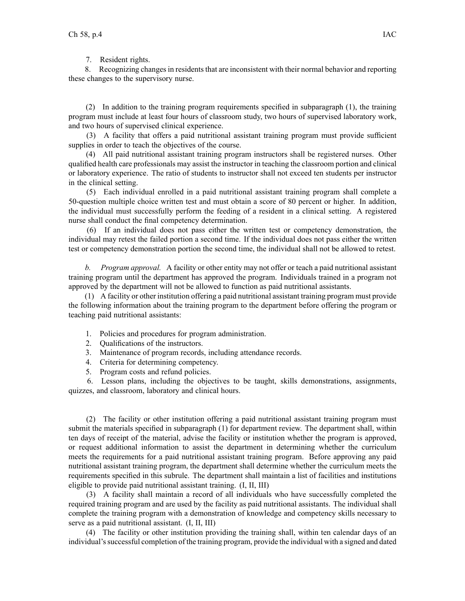7. Resident rights.

8. Recognizing changes in residents that are inconsistent with their normal behavior and reporting these changes to the supervisory nurse.

(2) In addition to the training program requirements specified in subparagraph (1), the training program must include at least four hours of classroom study, two hours of supervised laboratory work, and two hours of supervised clinical experience.

(3) A facility that offers <sup>a</sup> paid nutritional assistant training program must provide sufficient supplies in order to teach the objectives of the course.

(4) All paid nutritional assistant training program instructors shall be registered nurses. Other qualified health care professionals may assist the instructor in teaching the classroom portion and clinical or laboratory experience. The ratio of students to instructor shall not exceed ten students per instructor in the clinical setting.

(5) Each individual enrolled in <sup>a</sup> paid nutritional assistant training program shall complete <sup>a</sup> 50-question multiple choice written test and must obtain <sup>a</sup> score of 80 percen<sup>t</sup> or higher. In addition, the individual must successfully perform the feeding of <sup>a</sup> resident in <sup>a</sup> clinical setting. A registered nurse shall conduct the final competency determination.

(6) If an individual does not pass either the written test or competency demonstration, the individual may retest the failed portion <sup>a</sup> second time. If the individual does not pass either the written test or competency demonstration portion the second time, the individual shall not be allowed to retest.

*b. Program approval.* A facility or other entity may not offer or teach <sup>a</sup> paid nutritional assistant training program until the department has approved the program. Individuals trained in <sup>a</sup> program not approved by the department will not be allowed to function as paid nutritional assistants.

(1) A facility or other institution offering <sup>a</sup> paid nutritional assistant training program must provide the following information about the training program to the department before offering the program or teaching paid nutritional assistants:

- 1. Policies and procedures for program administration.
- 2. Qualifications of the instructors.
- 3. Maintenance of program records, including attendance records.
- 4. Criteria for determining competency.
- 5. Program costs and refund policies.

6. Lesson plans, including the objectives to be taught, skills demonstrations, assignments, quizzes, and classroom, laboratory and clinical hours.

(2) The facility or other institution offering <sup>a</sup> paid nutritional assistant training program must submit the materials specified in subparagraph (1) for department review. The department shall, within ten days of receipt of the material, advise the facility or institution whether the program is approved, or reques<sup>t</sup> additional information to assist the department in determining whether the curriculum meets the requirements for <sup>a</sup> paid nutritional assistant training program. Before approving any paid nutritional assistant training program, the department shall determine whether the curriculum meets the requirements specified in this subrule. The department shall maintain <sup>a</sup> list of facilities and institutions eligible to provide paid nutritional assistant training. (I, II, III)

(3) A facility shall maintain <sup>a</sup> record of all individuals who have successfully completed the required training program and are used by the facility as paid nutritional assistants. The individual shall complete the training program with <sup>a</sup> demonstration of knowledge and competency skills necessary to serve as <sup>a</sup> paid nutritional assistant. (I, II, III)

(4) The facility or other institution providing the training shall, within ten calendar days of an individual'ssuccessful completion of the training program, provide the individual with <sup>a</sup> signed and dated